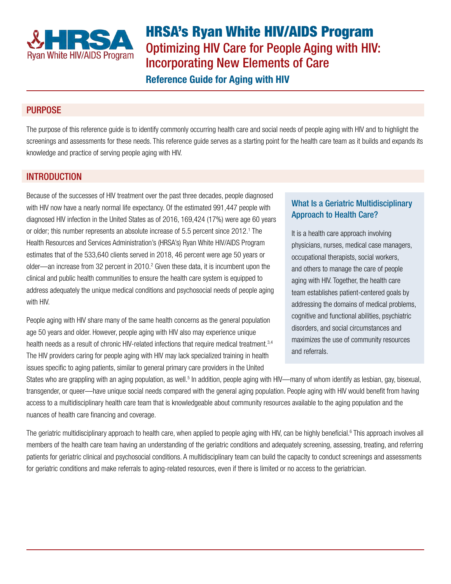

HRSA's Ryan White HIV/AIDS Program Optimizing HIV Care for People Aging with HIV: Incorporating New Elements of Care

Reference Guide for Aging with HIV

# PURPOSE

The purpose of this reference guide is to identify commonly occurring health care and social needs of people aging with HIV and to highlight the screenings and assessments for these needs. This reference guide serves as a starting point for the health care team as it builds and expands its knowledge and practice of serving people aging with HIV.

## INTRODUCTION

Because of the successes of HIV treatment over the past three decades, people diagnosed with HIV now have a nearly normal life expectancy. Of the estimated 991,447 people with diagnosed HIV infection in the United States as of 2016, 169,424 (17%) were age 60 years or older; this number represents an absolute increase of 5.5 percent since 2012.<sup>1</sup> The Health Resources and Services Administration's (HRSA's) Ryan White HIV/AIDS Program estimates that of the 533,640 clients served in 2018, 46 percent were age 50 years or older—an increase from 32 percent in 2010.<sup>2</sup> Given these data, it is incumbent upon the clinical and public health communities to ensure the health care system is equipped to address adequately the unique medical conditions and psychosocial needs of people aging with HIV.

People aging with HIV share many of the same health concerns as the general population age 50 years and older. However, people aging with HIV also may experience unique health needs as a result of chronic HIV-related infections that require medical treatment.<sup>3,4</sup> The HIV providers caring for people aging with HIV may lack specialized training in health issues specific to aging patients, similar to general primary care providers in the United

## What Is a Geriatric Multidisciplinary Approach to Health Care?

It is a health care approach involving physicians, nurses, medical case managers, occupational therapists, social workers, and others to manage the care of people aging with HIV. Together, the health care team establishes patient-centered goals by addressing the domains of medical problems, cognitive and functional abilities, psychiatric disorders, and social circumstances and maximizes the use of community resources and referrals.

States who are grappling with an aging population, as well.<sup>5</sup> In addition, people aging with HIV—many of whom identify as lesbian, gay, bisexual, transgender, or queer—have unique social needs compared with the general aging population. People aging with HIV would benefit from having access to a multidisciplinary health care team that is knowledgeable about community resources available to the aging population and the nuances of health care financing and coverage.

The geriatric multidisciplinary approach to health care, when applied to people aging with HIV, can be highly beneficial.<sup>6</sup> This approach involves all members of the health care team having an understanding of the geriatric conditions and adequately screening, assessing, treating, and referring patients for geriatric clinical and psychosocial conditions. A multidisciplinary team can build the capacity to conduct screenings and assessments for geriatric conditions and make referrals to aging-related resources, even if there is limited or no access to the geriatrician.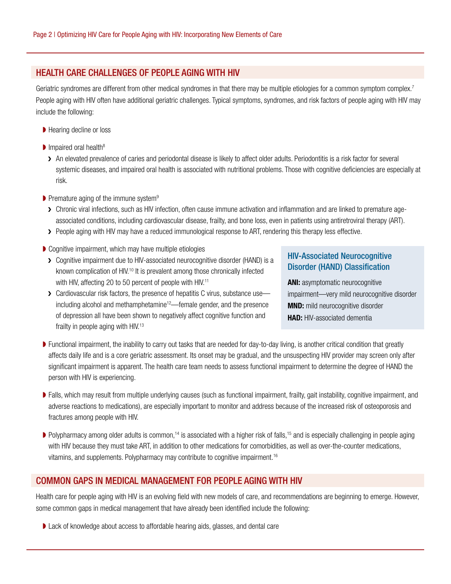## HEALTH CARE CHALLENGES OF PEOPLE AGING WITH HIV

Geriatric syndromes are different from other medical syndromes in that there may be multiple etiologies for a common symptom complex.<sup>7</sup> People aging with HIV often have additional geriatric challenges. Typical symptoms, syndromes, and risk factors of people aging with HIV may include the following:

- Hearing decline or loss
- $\blacksquare$  Impaired oral health<sup>8</sup>
	- > An elevated prevalence of caries and periodontal disease is likely to affect older adults. Periodontitis is a risk factor for several systemic diseases, and impaired oral health is associated with nutritional problems. Those with cognitive deficiencies are especially at risk.
- ▶ Premature aging of the immune system<sup>9</sup>
	- > Chronic viral infections, such as HIV infection, often cause immune activation and inflammation and are linked to premature ageassociated conditions, including cardiovascular disease, frailty, and bone loss, even in patients using antiretroviral therapy (ART).
	- > People aging with HIV may have a reduced immunological response to ART, rendering this therapy less effective.
- ▶ Cognitive impairment, which may have multiple etiologies
	- ❯ Cognitive impairment due to HIV-associated neurocognitive disorder (HAND) is a known complication of HIV.<sup>10</sup> It is prevalent among those chronically infected with HIV, affecting 20 to 50 percent of people with HIV.<sup>11</sup>

## HIV-Associated Neurocognitive Disorder (HAND) Classification

ANI: asymptomatic neurocognitive impairment—very mild neurocognitive disorder MND: mild neurocognitive disorder **HAD:** HIV-associated dementia

- **EX** Cardiovascular risk factors, the presence of hepatitis C virus, substance use ← including alcohol and methamphetamine<sup>12</sup>—female gender, and the presence of depression all have been shown to negatively affect cognitive function and frailty in people aging with HIV.<sup>13</sup>
- ◗ Functional impairment, the inability to carry out tasks that are needed for day-to-day living, is another critical condition that greatly affects daily life and is a core geriatric assessment. Its onset may be gradual, and the unsuspecting HIV provider may screen only after significant impairment is apparent. The health care team needs to assess functional impairment to determine the degree of HAND the person with HIV is experiencing.
- ▶ Falls, which may result from multiple underlying causes (such as functional impairment, frailty, gait instability, cognitive impairment, and adverse reactions to medications), are especially important to monitor and address because of the increased risk of osteoporosis and fractures among people with HIV.
- $\blacktriangleright$  Polypharmacy among older adults is common,<sup>14</sup> is associated with a higher risk of falls,<sup>15</sup> and is especially challenging in people aging with HIV because they must take ART, in addition to other medications for comorbidities, as well as over-the-counter medications, vitamins, and supplements. Polypharmacy may contribute to cognitive impairment.16

## COMMON GAPS IN MEDICAL MANAGEMENT FOR PEOPLE AGING WITH HIV

Health care for people aging with HIV is an evolving field with new models of care, and recommendations are beginning to emerge. However, some common gaps in medical management that have already been identified include the following:

◗ Lack of knowledge about access to affordable hearing aids, glasses, and dental care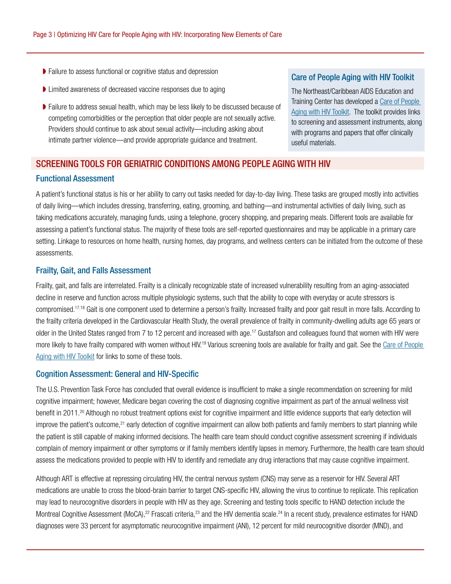- ◗ Failure to assess functional or cognitive status and depression
- ◗ Limited awareness of decreased vaccine responses due to aging
- ◗ Failure to address sexual health, which may be less likely to be discussed because of competing comorbidities or the perception that older people are not sexually active. Providers should continue to ask about sexual activity—including asking about intimate partner violence—and provide appropriate guidance and treatment.

#### Care of People Aging with HIV Toolkit

The Northeast/Caribbean AIDS Education and Training Center has developed a [Care of People](https://aidsetc.org/resource/care-people-aging-hiv-northeastcaribbean-aetc-toolkit)  [Aging with HIV Toolkit.](https://aidsetc.org/resource/care-people-aging-hiv-northeastcaribbean-aetc-toolkit) The toolkit provides links to screening and assessment instruments, along with programs and papers that offer clinically useful materials.

# SCREENING TOOLS FOR GERIATRIC CONDITIONS AMONG PEOPLE AGING WITH HIV Functional Assessment

A patient's functional status is his or her ability to carry out tasks needed for day-to-day living. These tasks are grouped mostly into activities of daily living—which includes dressing, transferring, eating, grooming, and bathing—and instrumental activities of daily living, such as taking medications accurately, managing funds, using a telephone, grocery shopping, and preparing meals. Different tools are available for assessing a patient's functional status. The majority of these tools are self-reported questionnaires and may be applicable in a primary care setting. Linkage to resources on home health, nursing homes, day programs, and wellness centers can be initiated from the outcome of these assessments.

#### Frailty, Gait, and Falls Assessment

Frailty, gait, and falls are interrelated. Frailty is a clinically recognizable state of increased vulnerability resulting from an aging-associated decline in reserve and function across multiple physiologic systems, such that the ability to cope with everyday or acute stressors is compromised.<sup>17,18</sup> Gait is one component used to determine a person's frailty. Increased frailty and poor gait result in more falls. According to the frailty criteria developed in the Cardiovascular Health Study, the overall prevalence of frailty in community-dwelling adults age 65 years or older in the United States ranged from 7 to 12 percent and increased with age.<sup>17</sup> Gustafson and colleagues found that women with HIV were more likely to have frailty compared with women without HIV.<sup>19</sup> Various screening tools are available for frailty and gait. See the Care of People [Aging with HIV Toolkit](https://aidsetc.org/resource/care-people-aging-hiv-northeastcaribbean-aetc-toolkit) for links to some of these tools.

#### Cognition Assessment: General and HIV-Specific

The U.S. Prevention Task Force has concluded that overall evidence is insufficient to make a single recommendation on screening for mild cognitive impairment; however, Medicare began covering the cost of diagnosing cognitive impairment as part of the annual wellness visit benefit in 2011.<sup>20</sup> Although no robust treatment options exist for cognitive impairment and little evidence supports that early detection will improve the patient's outcome,<sup>21</sup> early detection of cognitive impairment can allow both patients and family members to start planning while the patient is still capable of making informed decisions. The health care team should conduct cognitive assessment screening if individuals complain of memory impairment or other symptoms or if family members identify lapses in memory. Furthermore, the health care team should assess the medications provided to people with HIV to identify and remediate any drug interactions that may cause cognitive impairment.

Although ART is effective at repressing circulating HIV, the central nervous system (CNS) may serve as a reservoir for HIV. Several ART medications are unable to cross the blood-brain barrier to target CNS-specific HIV, allowing the virus to continue to replicate. This replication may lead to neurocognitive disorders in people with HIV as they age. Screening and testing tools specific to HAND detection include the Montreal Cognitive Assessment (MoCA),<sup>22</sup> Frascati criteria,<sup>23</sup> and the HIV dementia scale.<sup>24</sup> In a recent study, prevalence estimates for HAND diagnoses were 33 percent for asymptomatic neurocognitive impairment (ANI), 12 percent for mild neurocognitive disorder (MND), and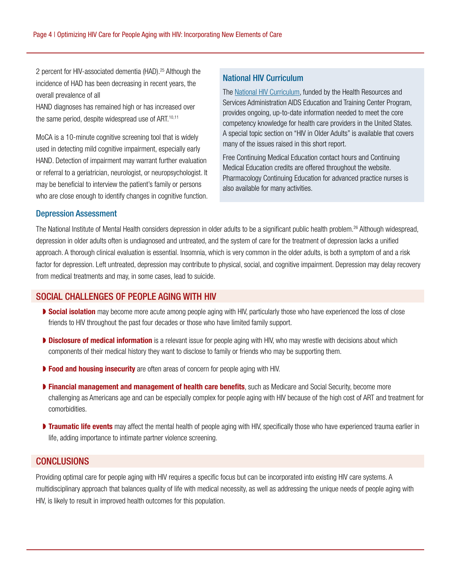2 percent for HIV-associated dementia (HAD).<sup>25</sup> Although the incidence of HAD has been decreasing in recent years, the overall prevalence of all

HAND diagnoses has remained high or has increased over the same period, despite widespread use of ART.<sup>10,11</sup>

MoCA is a 10-minute cognitive screening tool that is widely used in detecting mild cognitive impairment, especially early HAND. Detection of impairment may warrant further evaluation or referral to a geriatrician, neurologist, or neuropsychologist. It may be beneficial to interview the patient's family or persons who are close enough to identify changes in cognitive function.

#### National HIV Curriculum

The [National HIV Curriculum,](https://www.hiv.uw.edu/) funded by the Health Resources and Services Administration AIDS Education and Training Center Program, provides ongoing, up-to-date information needed to meet the core competency knowledge for health care providers in the United States. A special topic section on "HIV in Older Adults" is available that covers many of the issues raised in this short report.

Free Continuing Medical Education contact hours and Continuing Medical Education credits are offered throughout the website. Pharmacology Continuing Education for advanced practice nurses is also available for many activities.

#### Depression Assessment

The National Institute of Mental Health considers depression in older adults to be a significant public health problem.<sup>26</sup> Although widespread, depression in older adults often is undiagnosed and untreated, and the system of care for the treatment of depression lacks a unified approach. A thorough clinical evaluation is essential. Insomnia, which is very common in the older adults, is both a symptom of and a risk factor for depression. Left untreated, depression may contribute to physical, social, and cognitive impairment. Depression may delay recovery from medical treatments and may, in some cases, lead to suicide.

#### SOCIAL CHALLENGES OF PEOPLE AGING WITH HIV

- ▶ Social isolation may become more acute among people aging with HIV, particularly those who have experienced the loss of close friends to HIV throughout the past four decades or those who have limited family support.
- **Disclosure of medical information** is a relevant issue for people aging with HIV, who may wrestle with decisions about which components of their medical history they want to disclose to family or friends who may be supporting them.
- ▶ Food and housing insecurity are often areas of concern for people aging with HIV.
- **Financial management and management of health care benefits**, such as Medicare and Social Security, become more challenging as Americans age and can be especially complex for people aging with HIV because of the high cost of ART and treatment for comorbidities.
- **Traumatic life events** may affect the mental health of people aging with HIV, specifically those who have experienced trauma earlier in life, adding importance to intimate partner violence screening.

### **CONCLUSIONS**

Providing optimal care for people aging with HIV requires a specific focus but can be incorporated into existing HIV care systems. A multidisciplinary approach that balances quality of life with medical necessity, as well as addressing the unique needs of people aging with HIV, is likely to result in improved health outcomes for this population.